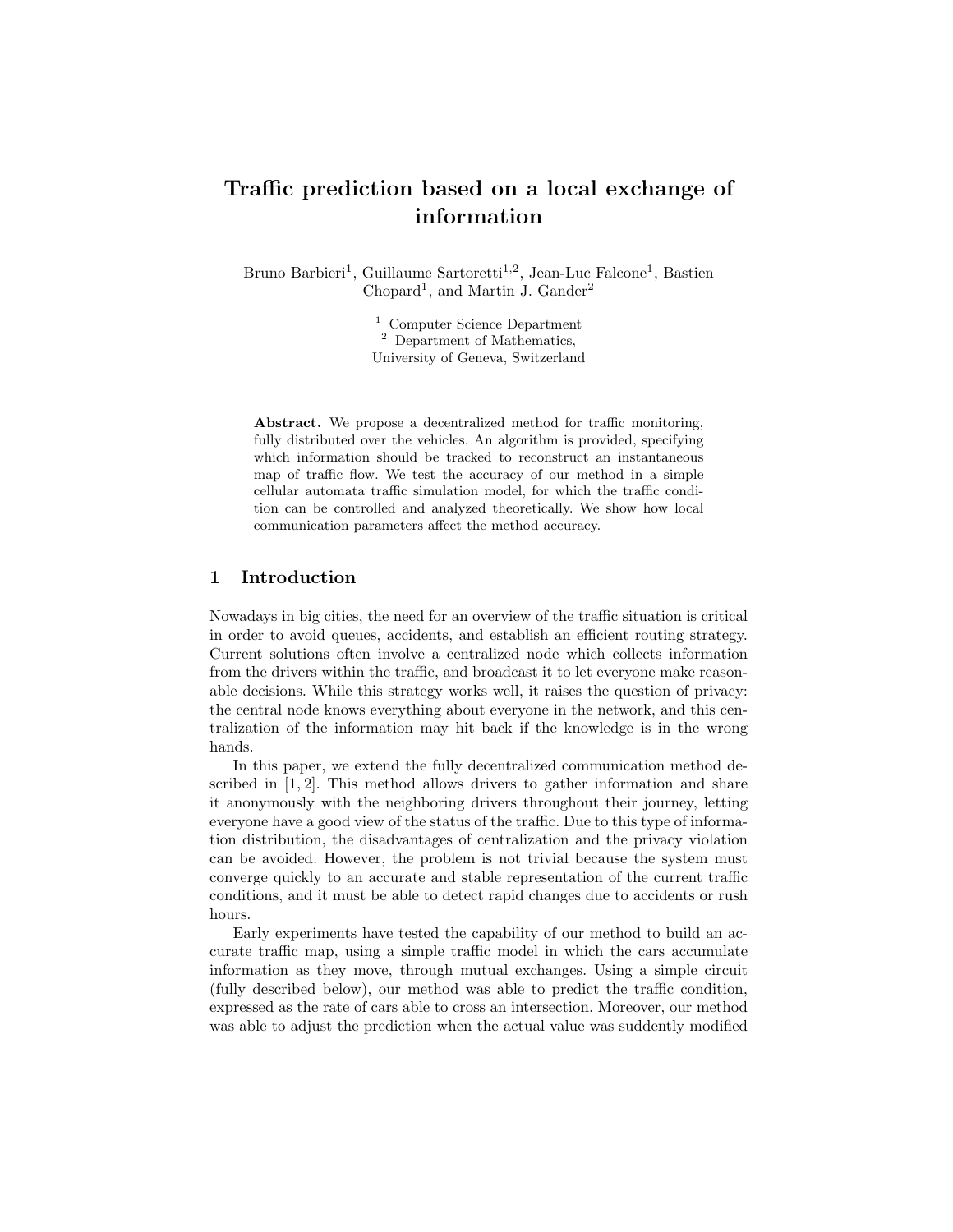# Traffic prediction based on a local exchange of information

Bruno Barbieri<sup>1</sup>, Guillaume Sartoretti<sup>1,2</sup>, Jean-Luc Falcone<sup>1</sup>, Bastien  $Chopard<sup>1</sup>$ , and Martin J. Gander<sup>2</sup>

> <sup>1</sup> Computer Science Department <sup>2</sup> Department of Mathematics, University of Geneva, Switzerland

Abstract. We propose a decentralized method for traffic monitoring, fully distributed over the vehicles. An algorithm is provided, specifying which information should be tracked to reconstruct an instantaneous map of traffic flow. We test the accuracy of our method in a simple cellular automata traffic simulation model, for which the traffic condition can be controlled and analyzed theoretically. We show how local communication parameters affect the method accuracy.

## 1 Introduction

Nowadays in big cities, the need for an overview of the traffic situation is critical in order to avoid queues, accidents, and establish an efficient routing strategy. Current solutions often involve a centralized node which collects information from the drivers within the traffic, and broadcast it to let everyone make reasonable decisions. While this strategy works well, it raises the question of privacy: the central node knows everything about everyone in the network, and this centralization of the information may hit back if the knowledge is in the wrong hands.

In this paper, we extend the fully decentralized communication method described in  $[1, 2]$ . This method allows drivers to gather information and share it anonymously with the neighboring drivers throughout their journey, letting everyone have a good view of the status of the traffic. Due to this type of information distribution, the disadvantages of centralization and the privacy violation can be avoided. However, the problem is not trivial because the system must converge quickly to an accurate and stable representation of the current traffic conditions, and it must be able to detect rapid changes due to accidents or rush hours.

Early experiments have tested the capability of our method to build an accurate traffic map, using a simple traffic model in which the cars accumulate information as they move, through mutual exchanges. Using a simple circuit (fully described below), our method was able to predict the traffic condition, expressed as the rate of cars able to cross an intersection. Moreover, our method was able to adjust the prediction when the actual value was suddently modified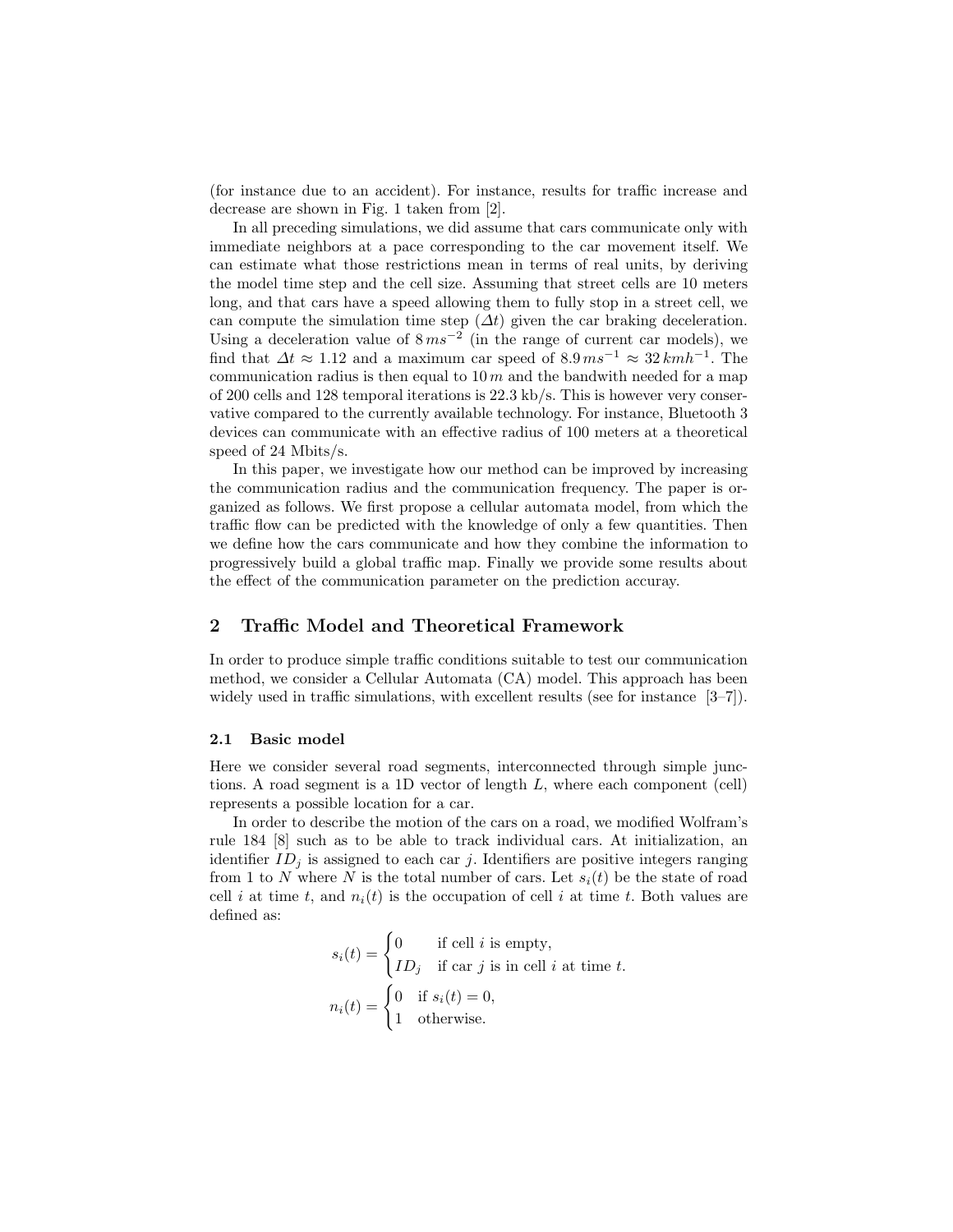(for instance due to an accident). For instance, results for traffic increase and decrease are shown in Fig. 1 taken from [2].

In all preceding simulations, we did assume that cars communicate only with immediate neighbors at a pace corresponding to the car movement itself. We can estimate what those restrictions mean in terms of real units, by deriving the model time step and the cell size. Assuming that street cells are 10 meters long, and that cars have a speed allowing them to fully stop in a street cell, we can compute the simulation time step  $(\Delta t)$  given the car braking deceleration. Using a deceleration value of  $8 \text{ ms}^{-2}$  (in the range of current car models), we find that  $\Delta t \approx 1.12$  and a maximum car speed of  $8.9 \text{ ms}^{-1} \approx 32 \text{ km} \text{h}^{-1}$ . The communication radius is then equal to  $10 m$  and the bandwith needed for a map of 200 cells and 128 temporal iterations is 22.3 kb/s. This is however very conservative compared to the currently available technology. For instance, Bluetooth 3 devices can communicate with an effective radius of 100 meters at a theoretical speed of 24 Mbits/s.

In this paper, we investigate how our method can be improved by increasing the communication radius and the communication frequency. The paper is organized as follows. We first propose a cellular automata model, from which the traffic flow can be predicted with the knowledge of only a few quantities. Then we define how the cars communicate and how they combine the information to progressively build a global traffic map. Finally we provide some results about the effect of the communication parameter on the prediction accuray.

## 2 Traffic Model and Theoretical Framework

In order to produce simple traffic conditions suitable to test our communication method, we consider a Cellular Automata (CA) model. This approach has been widely used in traffic simulations, with excellent results (see for instance  $[3-7]$ ).

#### 2.1 Basic model

Here we consider several road segments, interconnected through simple junctions. A road segment is a 1D vector of length L, where each component (cell) represents a possible location for a car.

In order to describe the motion of the cars on a road, we modified Wolfram's rule 184 [8] such as to be able to track individual cars. At initialization, an identifier  $ID_i$  is assigned to each car j. Identifiers are positive integers ranging from 1 to N where N is the total number of cars. Let  $s_i(t)$  be the state of road cell i at time t, and  $n_i(t)$  is the occupation of cell i at time t. Both values are defined as:

$$
s_i(t) = \begin{cases} 0 & \text{if cell } i \text{ is empty,} \\ ID_j & \text{if car } j \text{ is in cell } i \text{ at time } t. \end{cases}
$$

$$
n_i(t) = \begin{cases} 0 & \text{if } s_i(t) = 0, \\ 1 & \text{otherwise.} \end{cases}
$$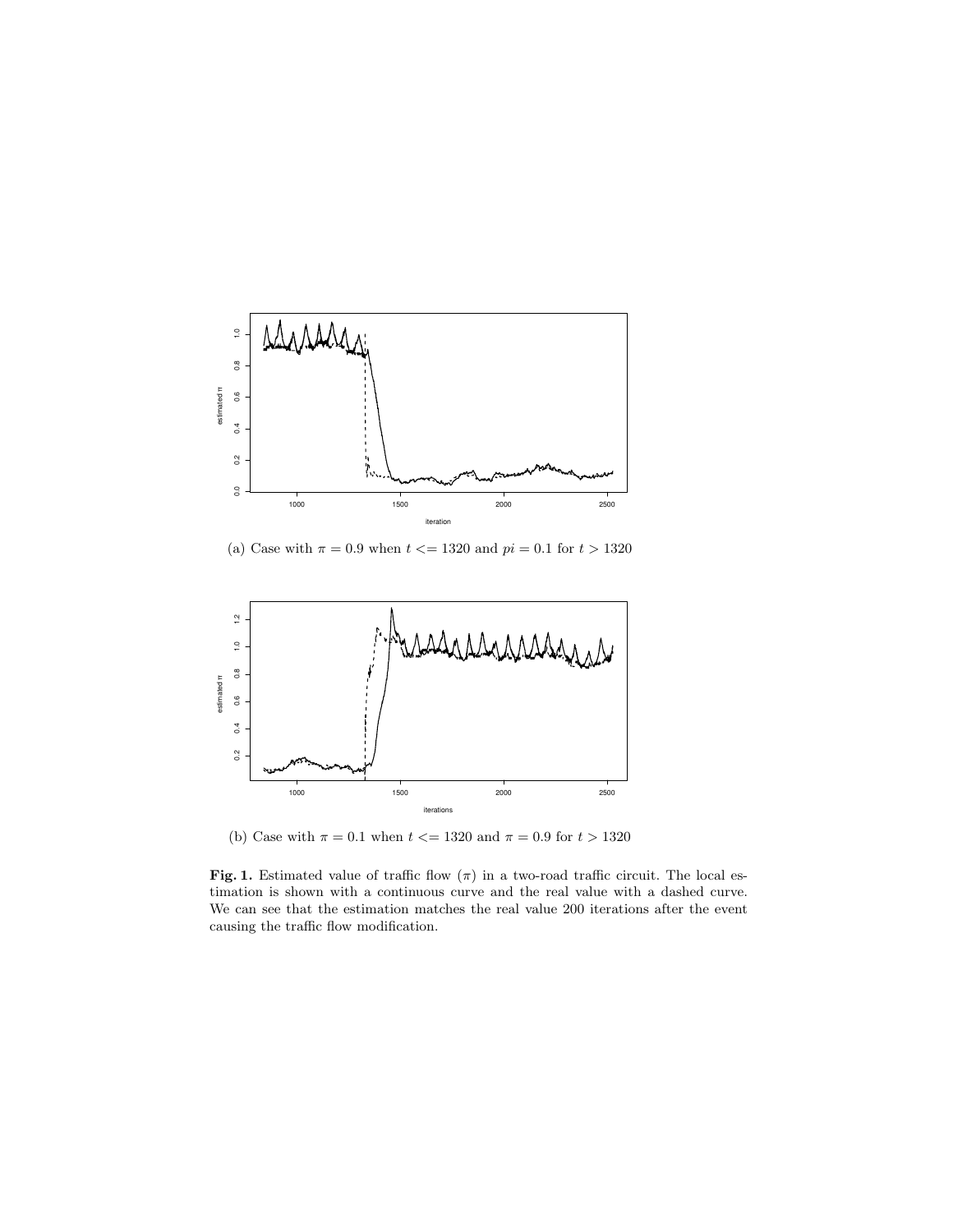

(a) Case with  $\pi = 0.9$  when  $t \le 1320$  and  $pi = 0.1$  for  $t > 1320$ 



(b) Case with  $\pi = 0.1$  when  $t \le 1320$  and  $\pi = 0.9$  for  $t > 1320$ 

Fig. 1. Estimated value of traffic flow  $(\pi)$  in a two-road traffic circuit. The local estimation is shown with a continuous curve and the real value with a dashed curve. We can see that the estimation matches the real value 200 iterations after the event causing the traffic flow modification.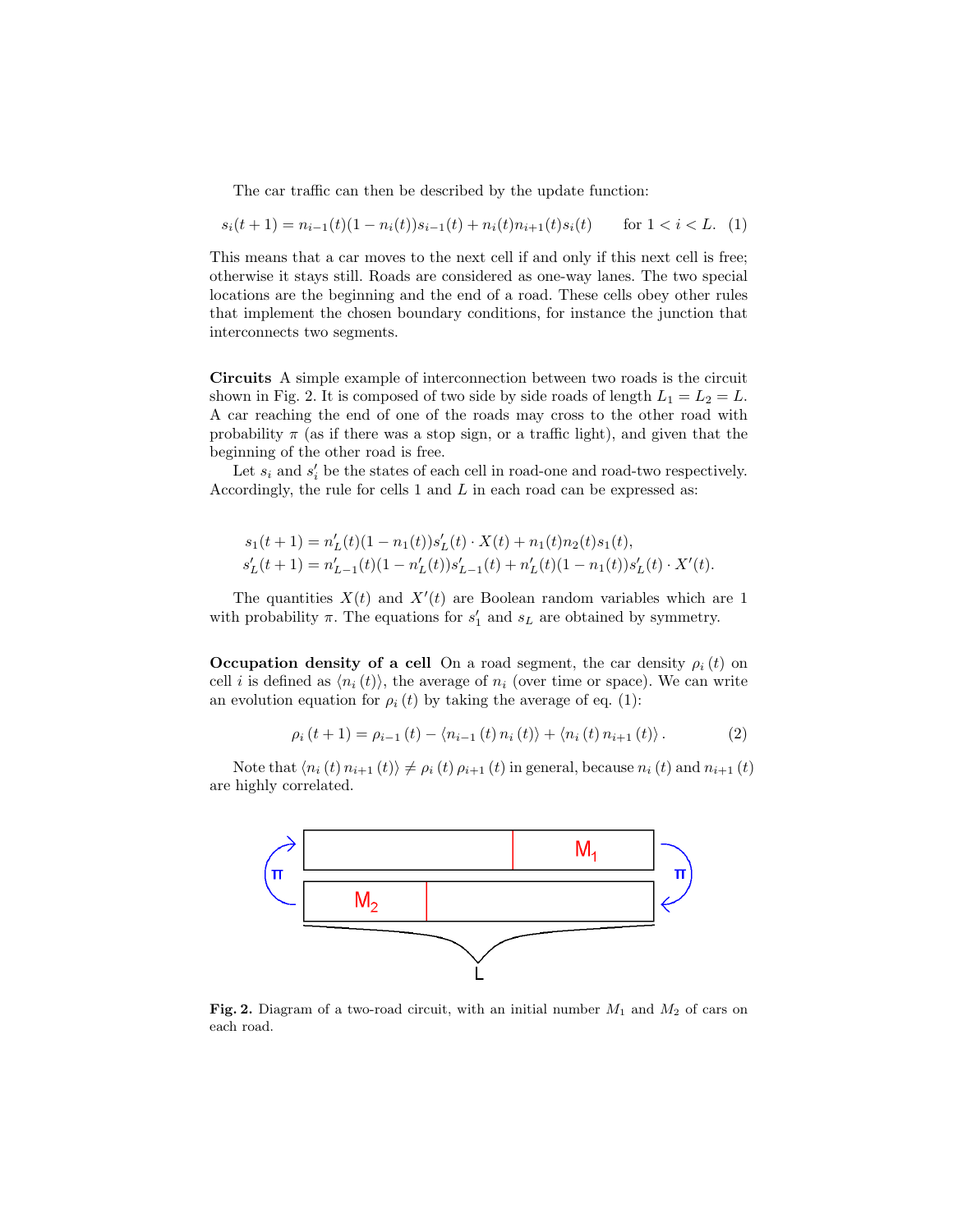The car traffic can then be described by the update function:

$$
s_i(t+1) = n_{i-1}(t)(1 - n_i(t))s_{i-1}(t) + n_i(t)n_{i+1}(t)s_i(t) \quad \text{for } 1 < i < L. \tag{1}
$$

This means that a car moves to the next cell if and only if this next cell is free; otherwise it stays still. Roads are considered as one-way lanes. The two special locations are the beginning and the end of a road. These cells obey other rules that implement the chosen boundary conditions, for instance the junction that interconnects two segments.

Circuits A simple example of interconnection between two roads is the circuit shown in Fig. 2. It is composed of two side by side roads of length  $L_1 = L_2 = L$ . A car reaching the end of one of the roads may cross to the other road with probability  $\pi$  (as if there was a stop sign, or a traffic light), and given that the beginning of the other road is free.

Let  $s_i$  and  $s'_i$  be the states of each cell in road-one and road-two respectively. Accordingly, the rule for cells  $1$  and  $L$  in each road can be expressed as:

$$
s_1(t+1) = n'_L(t)(1-n_1(t))s'_L(t) \cdot X(t) + n_1(t)n_2(t)s_1(t),
$$
  
\n
$$
s'_L(t+1) = n'_{L-1}(t)(1-n'_L(t))s'_{L-1}(t) + n'_L(t)(1-n_1(t))s'_L(t) \cdot X'(t).
$$

The quantities  $X(t)$  and  $X'(t)$  are Boolean random variables which are 1 with probability  $\pi$ . The equations for  $s'_1$  and  $s_L$  are obtained by symmetry.

**Occupation density of a cell** On a road segment, the car density  $\rho_i(t)$  on cell *i* is defined as  $\langle n_i (t) \rangle$ , the average of  $n_i$  (over time or space). We can write an evolution equation for  $\rho_i(t)$  by taking the average of eq. (1):

$$
\rho_i(t+1) = \rho_{i-1}(t) - \langle n_{i-1}(t) n_i(t) \rangle + \langle n_i(t) n_{i+1}(t) \rangle.
$$
 (2)

Note that  $\langle n_i (t) n_{i+1} (t) \rangle \neq \rho_i (t) \rho_{i+1} (t)$  in general, because  $n_i (t)$  and  $n_{i+1} (t)$ are highly correlated.



Fig. 2. Diagram of a two-road circuit, with an initial number  $M_1$  and  $M_2$  of cars on each road.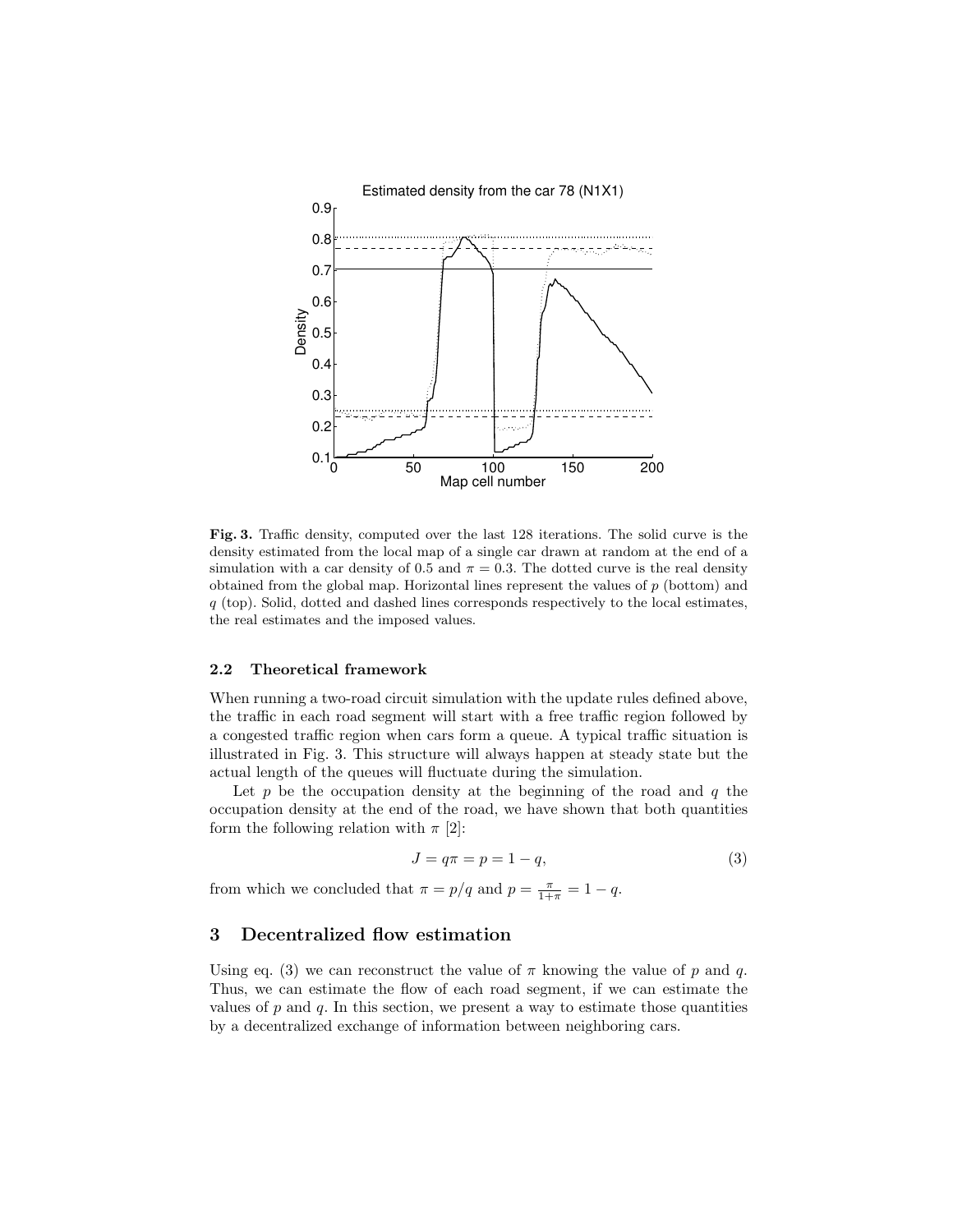

Fig. 3. Traffic density, computed over the last 128 iterations. The solid curve is the density estimated from the local map of a single car drawn at random at the end of a simulation with a car density of 0.5 and  $\pi = 0.3$ . The dotted curve is the real density obtained from the global map. Horizontal lines represent the values of  $p$  (bottom) and  $q$  (top). Solid, dotted and dashed lines corresponds respectively to the local estimates, the real estimates and the imposed values.

#### 2.2 Theoretical framework

When running a two-road circuit simulation with the update rules defined above, the traffic in each road segment will start with a free traffic region followed by a congested traffic region when cars form a queue. A typical traffic situation is illustrated in Fig. 3. This structure will always happen at steady state but the actual length of the queues will fluctuate during the simulation.

Let  $p$  be the occupation density at the beginning of the road and  $q$  the occupation density at the end of the road, we have shown that both quantities form the following relation with  $\pi$  [2]:

$$
J = q\pi = p = 1 - q,\tag{3}
$$

from which we concluded that  $\pi = p/q$  and  $p = \frac{\pi}{1+\pi} = 1 - q$ .

# 3 Decentralized flow estimation

Using eq. (3) we can reconstruct the value of  $\pi$  knowing the value of p and q. Thus, we can estimate the flow of each road segment, if we can estimate the values of  $p$  and  $q$ . In this section, we present a way to estimate those quantities by a decentralized exchange of information between neighboring cars.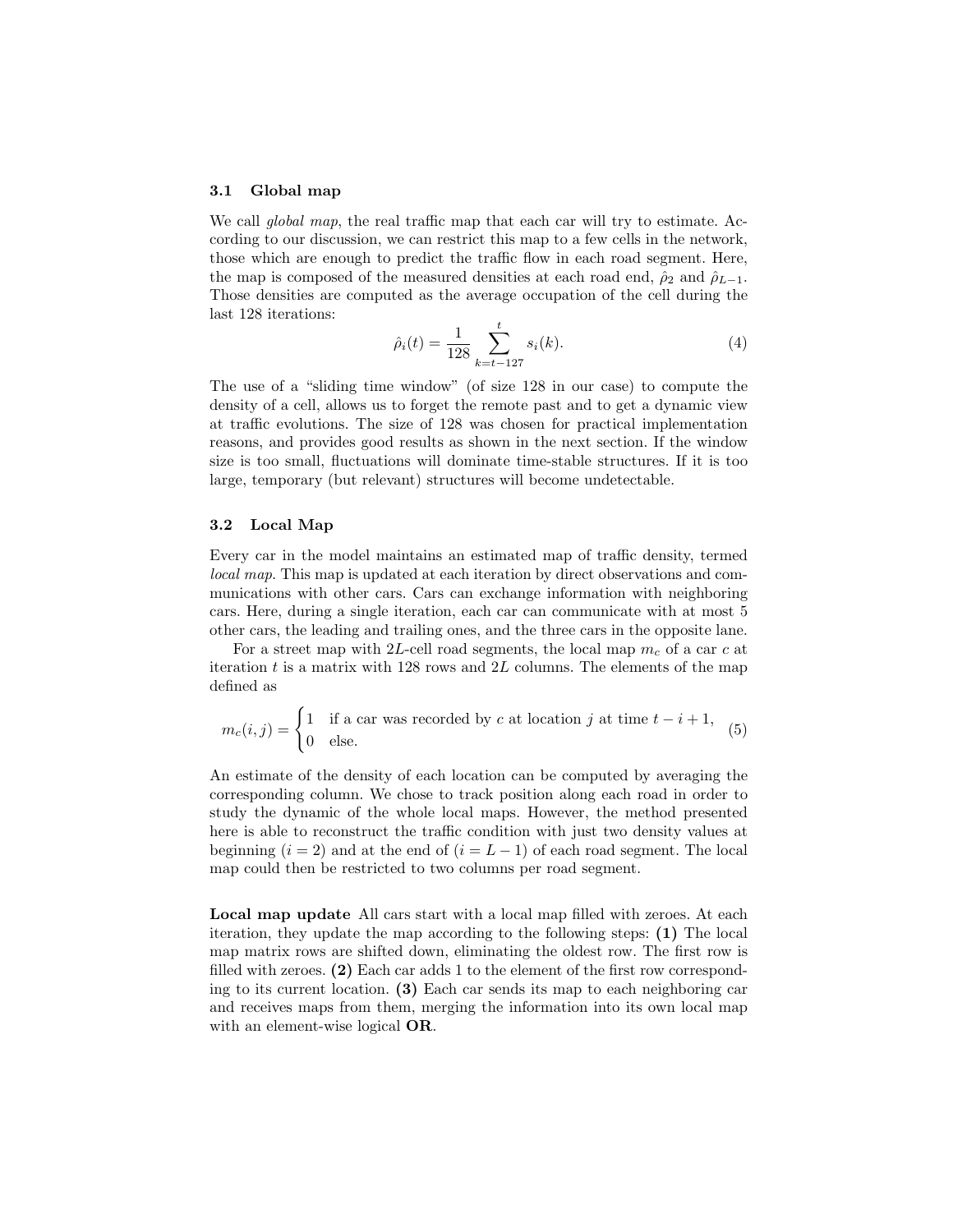#### 3.1 Global map

We call *global map*, the real traffic map that each car will try to estimate. According to our discussion, we can restrict this map to a few cells in the network, those which are enough to predict the traffic flow in each road segment. Here, the map is composed of the measured densities at each road end,  $\hat{\rho}_2$  and  $\hat{\rho}_{L-1}$ . Those densities are computed as the average occupation of the cell during the last 128 iterations:

$$
\hat{\rho}_i(t) = \frac{1}{128} \sum_{k=t-127}^t s_i(k). \tag{4}
$$

The use of a "sliding time window" (of size 128 in our case) to compute the density of a cell, allows us to forget the remote past and to get a dynamic view at traffic evolutions. The size of 128 was chosen for practical implementation reasons, and provides good results as shown in the next section. If the window size is too small, fluctuations will dominate time-stable structures. If it is too large, temporary (but relevant) structures will become undetectable.

### 3.2 Local Map

Every car in the model maintains an estimated map of traffic density, termed local map. This map is updated at each iteration by direct observations and communications with other cars. Cars can exchange information with neighboring cars. Here, during a single iteration, each car can communicate with at most 5 other cars, the leading and trailing ones, and the three cars in the opposite lane.

For a street map with 2L-cell road segments, the local map  $m_c$  of a car c at iteration  $t$  is a matrix with 128 rows and  $2L$  columns. The elements of the map defined as

$$
m_c(i,j) = \begin{cases} 1 & \text{if a car was recorded by } c \text{ at location } j \text{ at time } t - i + 1, \\ 0 & \text{else.} \end{cases}
$$
 (5)

An estimate of the density of each location can be computed by averaging the corresponding column. We chose to track position along each road in order to study the dynamic of the whole local maps. However, the method presented here is able to reconstruct the traffic condition with just two density values at beginning  $(i = 2)$  and at the end of  $(i = L - 1)$  of each road segment. The local map could then be restricted to two columns per road segment.

Local map update All cars start with a local map filled with zeroes. At each iteration, they update the map according to the following steps: (1) The local map matrix rows are shifted down, eliminating the oldest row. The first row is filled with zeroes. (2) Each car adds 1 to the element of the first row corresponding to its current location.  $(3)$  Each car sends its map to each neighboring car and receives maps from them, merging the information into its own local map with an element-wise logical OR.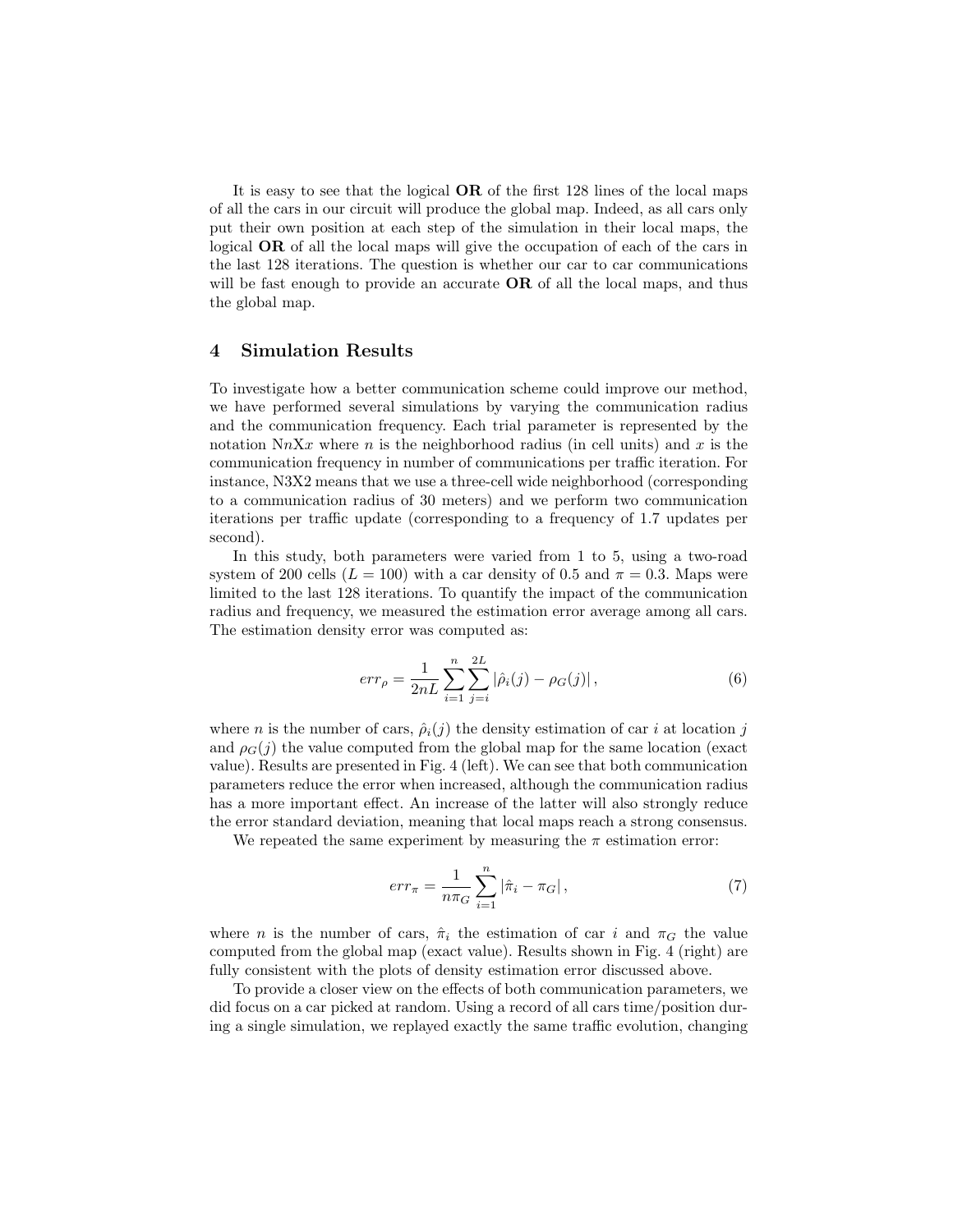It is easy to see that the logical OR of the first 128 lines of the local maps of all the cars in our circuit will produce the global map. Indeed, as all cars only put their own position at each step of the simulation in their local maps, the logical OR of all the local maps will give the occupation of each of the cars in the last 128 iterations. The question is whether our car to car communications will be fast enough to provide an accurate  $OR$  of all the local maps, and thus the global map.

### 4 Simulation Results

To investigate how a better communication scheme could improve our method, we have performed several simulations by varying the communication radius and the communication frequency. Each trial parameter is represented by the notation NnXx where n is the neighborhood radius (in cell units) and x is the communication frequency in number of communications per traffic iteration. For instance, N3X2 means that we use a three-cell wide neighborhood (corresponding to a communication radius of 30 meters) and we perform two communication iterations per traffic update (corresponding to a frequency of 1.7 updates per second).

In this study, both parameters were varied from 1 to 5, using a two-road system of 200 cells ( $L = 100$ ) with a car density of 0.5 and  $\pi = 0.3$ . Maps were limited to the last 128 iterations. To quantify the impact of the communication radius and frequency, we measured the estimation error average among all cars. The estimation density error was computed as:

$$
err_{\rho} = \frac{1}{2nL} \sum_{i=1}^{n} \sum_{j=i}^{2L} |\hat{\rho}_i(j) - \rho_G(j)|,
$$
\n(6)

where *n* is the number of cars,  $\hat{\rho}_i(j)$  the density estimation of car *i* at location j and  $\rho_G(i)$  the value computed from the global map for the same location (exact value). Results are presented in Fig. 4 (left). We can see that both communication parameters reduce the error when increased, although the communication radius has a more important effect. An increase of the latter will also strongly reduce the error standard deviation, meaning that local maps reach a strong consensus.

We repeated the same experiment by measuring the  $\pi$  estimation error:

$$
err_{\pi} = \frac{1}{n\pi_G} \sum_{i=1}^{n} |\hat{\pi}_i - \pi_G| \,,\tag{7}
$$

where *n* is the number of cars,  $\hat{\pi}_i$  the estimation of car *i* and  $\pi_G$  the value computed from the global map (exact value). Results shown in Fig. 4 (right) are fully consistent with the plots of density estimation error discussed above.

To provide a closer view on the effects of both communication parameters, we did focus on a car picked at random. Using a record of all cars time/position during a single simulation, we replayed exactly the same traffic evolution, changing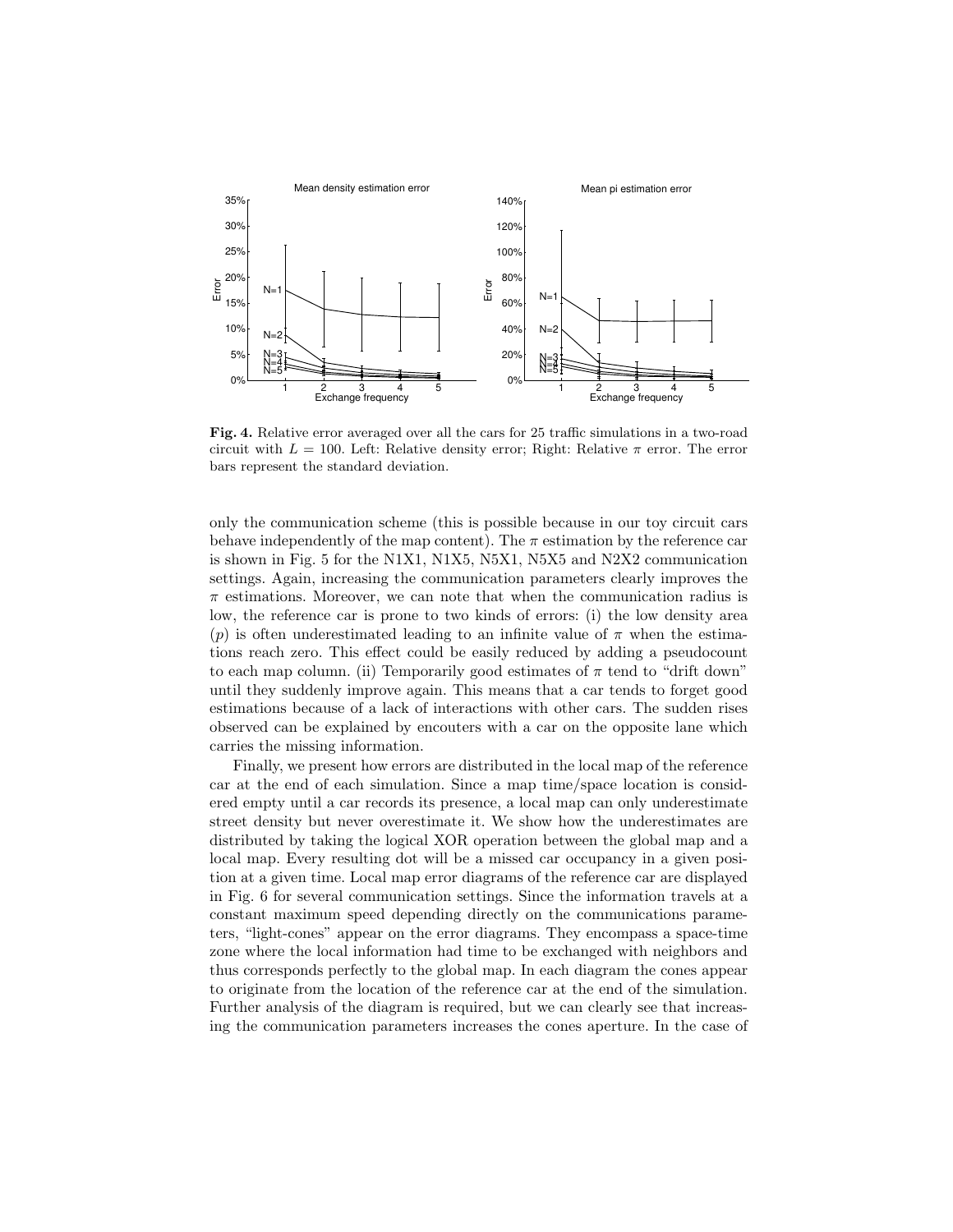

Fig. 4. Relative error averaged over all the cars for 25 traffic simulations in a two-road circuit with  $L = 100$ . Left: Relative density error; Right: Relative  $\pi$  error. The error bars represent the standard deviation.

only the communication scheme (this is possible because in our toy circuit cars behave independently of the map content). The  $\pi$  estimation by the reference car is shown in Fig. 5 for the N1X1, N1X5, N5X1, N5X5 and N2X2 communication settings. Again, increasing the communication parameters clearly improves the  $\pi$  estimations. Moreover, we can note that when the communication radius is low, the reference car is prone to two kinds of errors: (i) the low density area (p) is often underestimated leading to an infinite value of  $\pi$  when the estimations reach zero. This effect could be easily reduced by adding a pseudocount to each map column. (ii) Temporarily good estimates of  $\pi$  tend to "drift down" until they suddenly improve again. This means that a car tends to forget good estimations because of a lack of interactions with other cars. The sudden rises observed can be explained by encouters with a car on the opposite lane which carries the missing information.

Finally, we present how errors are distributed in the local map of the reference car at the end of each simulation. Since a map time/space location is considered empty until a car records its presence, a local map can only underestimate street density but never overestimate it. We show how the underestimates are distributed by taking the logical XOR operation between the global map and a local map. Every resulting dot will be a missed car occupancy in a given position at a given time. Local map error diagrams of the reference car are displayed in Fig. 6 for several communication settings. Since the information travels at a constant maximum speed depending directly on the communications parameters, "light-cones" appear on the error diagrams. They encompass a space-time zone where the local information had time to be exchanged with neighbors and thus corresponds perfectly to the global map. In each diagram the cones appear to originate from the location of the reference car at the end of the simulation. Further analysis of the diagram is required, but we can clearly see that increasing the communication parameters increases the cones aperture. In the case of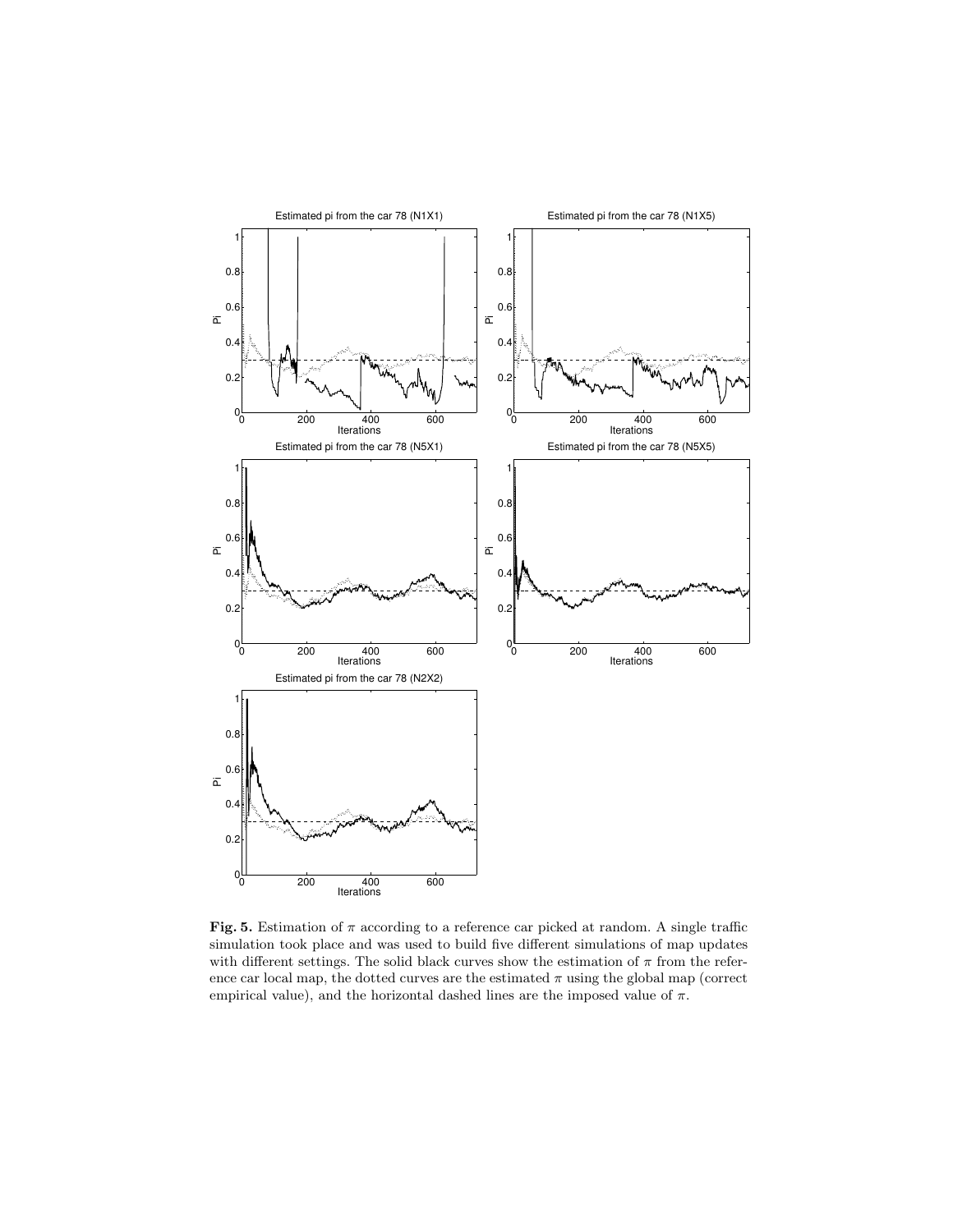

Fig. 5. Estimation of  $\pi$  according to a reference car picked at random. A single traffic simulation took place and was used to build five different simulations of map updates with different settings. The solid black curves show the estimation of  $\pi$  from the reference car local map, the dotted curves are the estimated  $\pi$  using the global map (correct empirical value), and the horizontal dashed lines are the imposed value of  $\pi$ .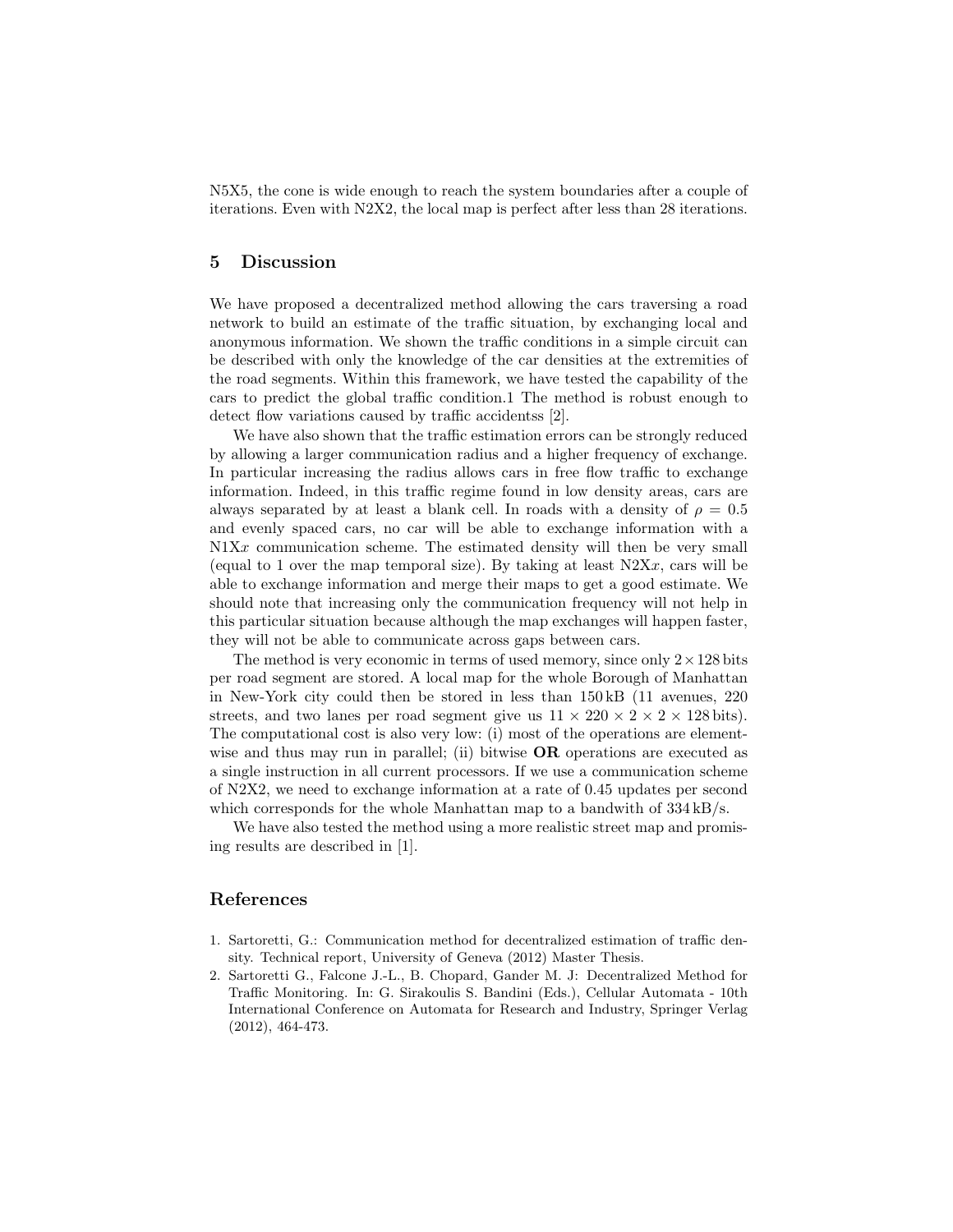N5X5, the cone is wide enough to reach the system boundaries after a couple of iterations. Even with N2X2, the local map is perfect after less than 28 iterations.

### 5 Discussion

We have proposed a decentralized method allowing the cars traversing a road network to build an estimate of the traffic situation, by exchanging local and anonymous information. We shown the traffic conditions in a simple circuit can be described with only the knowledge of the car densities at the extremities of the road segments. Within this framework, we have tested the capability of the cars to predict the global traffic condition.1 The method is robust enough to detect flow variations caused by traffic accidentss [2].

We have also shown that the traffic estimation errors can be strongly reduced by allowing a larger communication radius and a higher frequency of exchange. In particular increasing the radius allows cars in free flow traffic to exchange information. Indeed, in this traffic regime found in low density areas, cars are always separated by at least a blank cell. In roads with a density of  $\rho = 0.5$ and evenly spaced cars, no car will be able to exchange information with a  $N1Xx$  communication scheme. The estimated density will then be very small (equal to 1 over the map temporal size). By taking at least  $N2Xx$ , cars will be able to exchange information and merge their maps to get a good estimate. We should note that increasing only the communication frequency will not help in this particular situation because although the map exchanges will happen faster, they will not be able to communicate across gaps between cars.

The method is very economic in terms of used memory, since only  $2 \times 128$  bits per road segment are stored. A local map for the whole Borough of Manhattan in New-York city could then be stored in less than 150 kB (11 avenues, 220 streets, and two lanes per road segment give us  $11 \times 220 \times 2 \times 2 \times 128$  bits). The computational cost is also very low: (i) most of the operations are elementwise and thus may run in parallel; (ii) bitwise **OR** operations are executed as a single instruction in all current processors. If we use a communication scheme of N2X2, we need to exchange information at a rate of 0.45 updates per second which corresponds for the whole Manhattan map to a bandwith of  $334 \text{ kB/s}$ .

We have also tested the method using a more realistic street map and promising results are described in [1].

## References

- 1. Sartoretti, G.: Communication method for decentralized estimation of traffic density. Technical report, University of Geneva (2012) Master Thesis.
- 2. Sartoretti G., Falcone J.-L., B. Chopard, Gander M. J: Decentralized Method for Traffic Monitoring. In: G. Sirakoulis S. Bandini (Eds.), Cellular Automata - 10th International Conference on Automata for Research and Industry, Springer Verlag (2012), 464-473.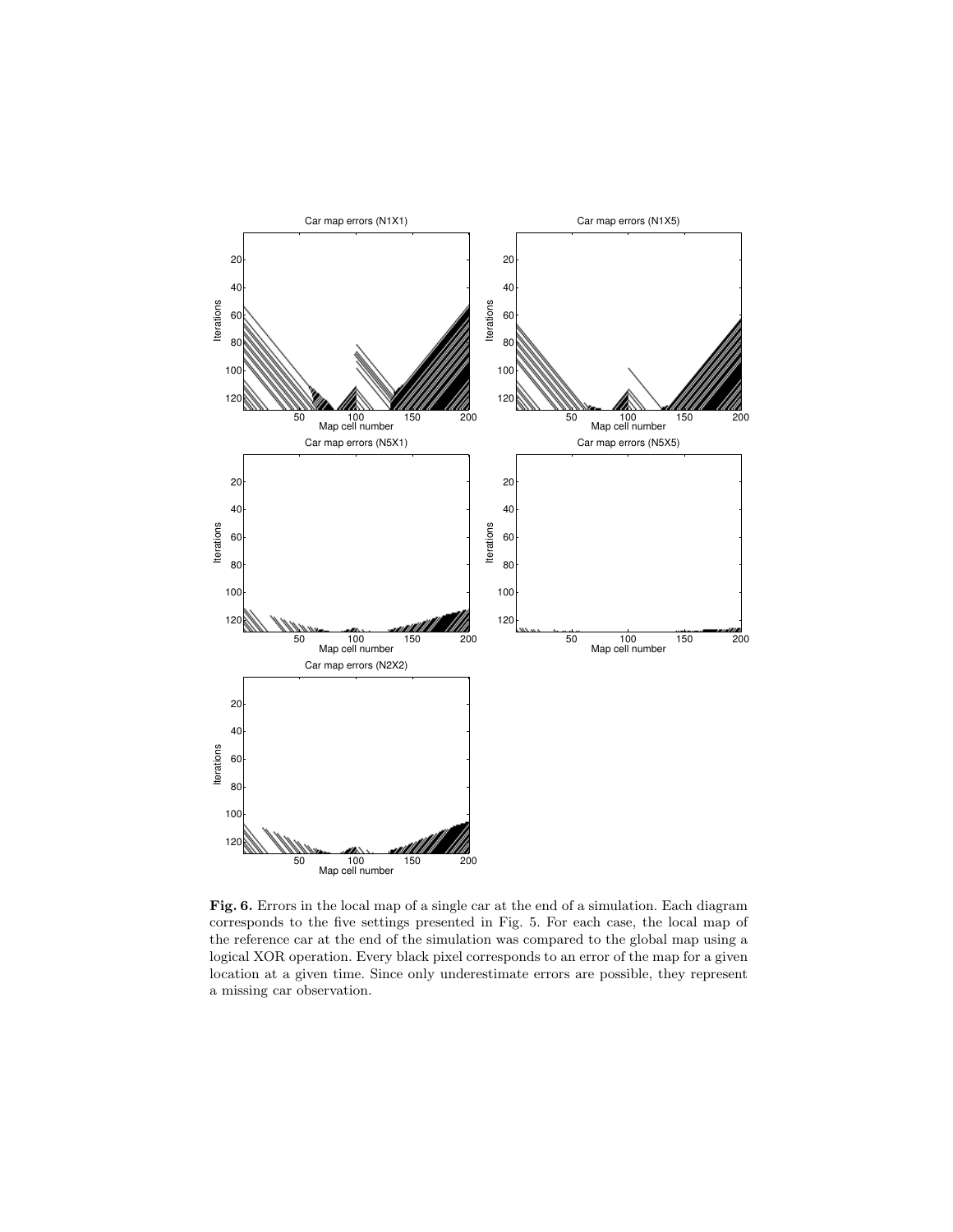

Fig. 6. Errors in the local map of a single car at the end of a simulation. Each diagram corresponds to the five settings presented in Fig. 5. For each case, the local map of the reference car at the end of the simulation was compared to the global map using a logical XOR operation. Every black pixel corresponds to an error of the map for a given location at a given time. Since only underestimate errors are possible, they represent a missing car observation.